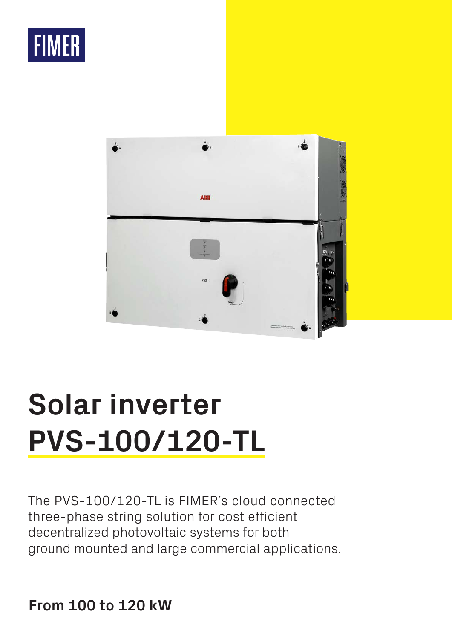



# **Solar inverter PVS-100/120-TL**

The PVS-100/120-TL is FIMER's cloud connected three-phase string solution for cost efficient decentralized photovoltaic systems for both ground mounted and large commercial applications.

**From 100 to 120 kW**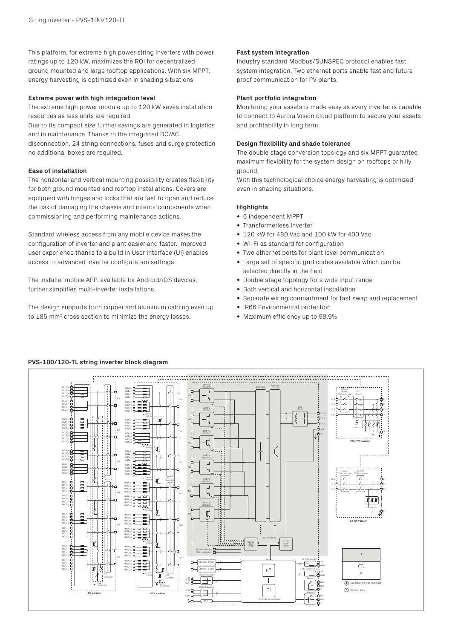This platform, for extreme high power string inverters with power ratings up to 120 kW, maximizes the ROI for decentralized ground mounted and large rooftop applications. With six MPPT, energy harvesting is optimized even in shading situations.

### **Extreme power with high integration level**

The extreme high power module up to 120 kW saves installation resources as less units are required.

Due to its compact size further savings are generated in logistics and in maintenance. Thanks to the integrated DC/AC

disconnection, 24 string connections, fuses and surge protection no additional boxes are required.

## **Ease of installation**

The horizontal and vertical mounting possibility creates flexibility for both ground mounted and rooftop installations. Covers are equipped with hinges and locks that are fast to open and reduce the risk of damaging the chassis and interior components when commissioning and performing maintenance actions.

Standard wireless access from any mobile device makes the configuration of inverter and plant easier and faster. Improved user experience thanks to a build in User Interface (UI) enables access to advanced inverter configuration settings.

The installer mobile APP, available for Android/iOS devices, further simplifies multi-inverter installations.

The design supports both copper and aluminum cabling even up to 185 mm2 cross section to minimize the energy losses.

### **Fast system integration**

Industry standard Modbus/SUNSPEC protocol enables fast system integration. Two ethernet ports enable fast and future proof communication for PV plants.

## **Plant portfolio integration**

Monitoring your assets is made easy as every inverter is capable to connect to Aurora Vision cloud platform to secure your assets and profitability in long term.

### **Design flexibility and shade tolerance**

The double stage conversion topology and six MPPT guarantee maximum flexibility for the system design on rooftops or hilly ground.

With this technological choice energy harvesting is optimized even in shading situations.

## **Highlights**

- 6 independent MPPT
- Transformerless inverter
- 120 kW for 480 Vac and 100 kW for 400 Vac
- Wi-Fi as standard for configuration
- Two ethernet ports for plant level communication
- Large set of specific grid codes available which can be selected directly in the field
- Double stage topology for a wide input range
- Both vertical and horizontal installation
- Separate wiring compartment for fast swap and replacement
- IP66 Environmental protection
- Maximum efficiency up to 98.9%



# **PVS-100/120-TL string inverter block diagram**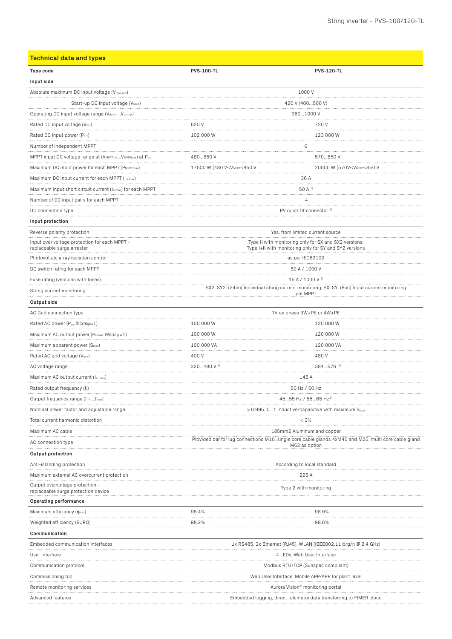| <b>Technical data and types</b>                                                  |                                                                                                                       |                                        |  |
|----------------------------------------------------------------------------------|-----------------------------------------------------------------------------------------------------------------------|----------------------------------------|--|
| Type code                                                                        | <b>PVS-100-TL</b>                                                                                                     | <b>PVS-120-TL</b>                      |  |
| Input side                                                                       |                                                                                                                       |                                        |  |
| Absolute maximum DC input voltage (Vmax,abs)                                     | 1000 V                                                                                                                |                                        |  |
| Start-up DC input voltage (V <sub>start</sub> )                                  | 420 V (400500 V)                                                                                                      |                                        |  |
| Operating DC input voltage range (VdcminVdcmax)                                  | 3601000 V                                                                                                             |                                        |  |
| Rated DC input voltage (Vdcr)                                                    | 620V                                                                                                                  | 720 V                                  |  |
| Rated DC input power (Pdcr)                                                      | 102 000 W                                                                                                             | <br>123 000 W                          |  |
| Number of independent MPPT                                                       | 6                                                                                                                     |                                        |  |
| MPPT input DC voltage range at (VMPPTminVMPPTmax) at Pacr                        | 480850 V                                                                                                              | 570850 V                               |  |
| Maximum DC input power for each MPPT (PMPPT, max)                                | 17500 W [480 V≤V <sub>MPPT</sub> ≤850 V                                                                               | 20500 W [570V≤V <sub>MPPT</sub> ≤850 V |  |
| Maximum DC input current for each MPPT (Idcmax)                                  | 36 A                                                                                                                  |                                        |  |
| Maximum input short circuit current (Iscmax) for each MPPT                       | 50 A <sup>1)</sup>                                                                                                    |                                        |  |
| Number of DC input pairs for each MPPT                                           | $\overline{4}$                                                                                                        |                                        |  |
| DC connection type<br>.                                                          | PV quick fit connector <sup>2)</sup>                                                                                  |                                        |  |
| Input protection                                                                 |                                                                                                                       |                                        |  |
| Reverse polarity protection                                                      | Yes, from limited current source                                                                                      |                                        |  |
| .<br>Input over voltage protection for each MPPT -<br>replaceable surge arrester | Type II with monitoring only for SX and SX2 versions;<br>Type I+II with monitoring only for SY and SY2 versions       |                                        |  |
| Photovoltaic array isolation control                                             | as per IEC62109                                                                                                       |                                        |  |
| DC switch rating for each MPPT                                                   | 50 A / 1000 V                                                                                                         |                                        |  |
| Fuse rating (versions with fuses)                                                | 15 A / 1000 V 3)                                                                                                      |                                        |  |
| String current monitoring                                                        | SX2, SY2: (24ch) Individual string current monitoring; SX, SY: (6ch) Input current monitoring<br>per MPPT             |                                        |  |
| Output side                                                                      |                                                                                                                       |                                        |  |
| AC Grid connection type                                                          | Three phase 3W+PE or 4W+PE                                                                                            |                                        |  |
| Rated AC power (Pacr DCOSQ=1)                                                    | 100 000 W                                                                                                             | 120 000 W                              |  |
| Maximum AC output power (Растах @cosq=1)                                         | 100 000 W                                                                                                             | 120 000 W                              |  |
| Maximum apparent power (S <sub>max</sub> )                                       | 100 000 VA                                                                                                            | 120 000 VA                             |  |
| Rated AC grid voltage (Vac.r)                                                    | 400 V                                                                                                                 | 480V                                   |  |
| AC voltage range                                                                 | 320480 V 4)                                                                                                           | $384576$ <sup>3)</sup>                 |  |
| Maximum AC output current (lac,max)                                              | 145 A                                                                                                                 |                                        |  |
| Rated output frequency (f <sub>r</sub> )                                         | 50 Hz / 60 Hz                                                                                                         |                                        |  |
| Output frequency range (f <sub>min</sub> f <sub>max</sub> )                      | 4555 Hz / 5565 Hz 5)                                                                                                  |                                        |  |
| Nominal power factor and adjustable range                                        | $> 0.995$ , 01 inductive/capacitive with maximum S $_{\text{max}}$                                                    |                                        |  |
| Total current harmonic distortion                                                | < 3%<br>.                                                                                                             |                                        |  |
| Maximum AC cable                                                                 | 185mm2 Aluminum and copper                                                                                            |                                        |  |
| AC connection type                                                               | Provided bar for lug connections M10, single core cable glands 4xM40 and M25, multi core cable gland<br>M63 as option |                                        |  |
| <b>Output protection</b>                                                         |                                                                                                                       |                                        |  |
| Anti-islanding protection                                                        | According to local standard                                                                                           |                                        |  |
| Maximum external AC overcurrent protection                                       | 225 A                                                                                                                 |                                        |  |
| Output overvoltage protection -<br>replaceable surge protection device           | Type 2 with monitoring                                                                                                |                                        |  |
| Operating performance                                                            |                                                                                                                       |                                        |  |
| Maximum efficiency $(\eta_{max})$                                                | 98.4%                                                                                                                 | 98.9%                                  |  |
| Weighted efficiency (EURO)                                                       | 98.2%                                                                                                                 | 98.6%                                  |  |
| Communication                                                                    |                                                                                                                       |                                        |  |
| Embedded communication interfaces                                                | 1x RS485, 2x Ethernet (RJ45), WLAN (IEEE802.11 b/g/n @ 2,4 GHz)                                                       |                                        |  |
| User interface                                                                   | 4 LEDs, Web User Interface                                                                                            |                                        |  |
| Communication protocol                                                           | Modbus RTU/TCP (Sunspec compliant)                                                                                    |                                        |  |
| Commissioning tool                                                               | Web User Interface, Mobile APP/APP for plant level                                                                    |                                        |  |
| Remote monitoring services                                                       | Aurora Vision® monitoring portal                                                                                      |                                        |  |
| Advanced features                                                                | Embedded logging, direct telemetry data transferring to FIMER cloud                                                   |                                        |  |